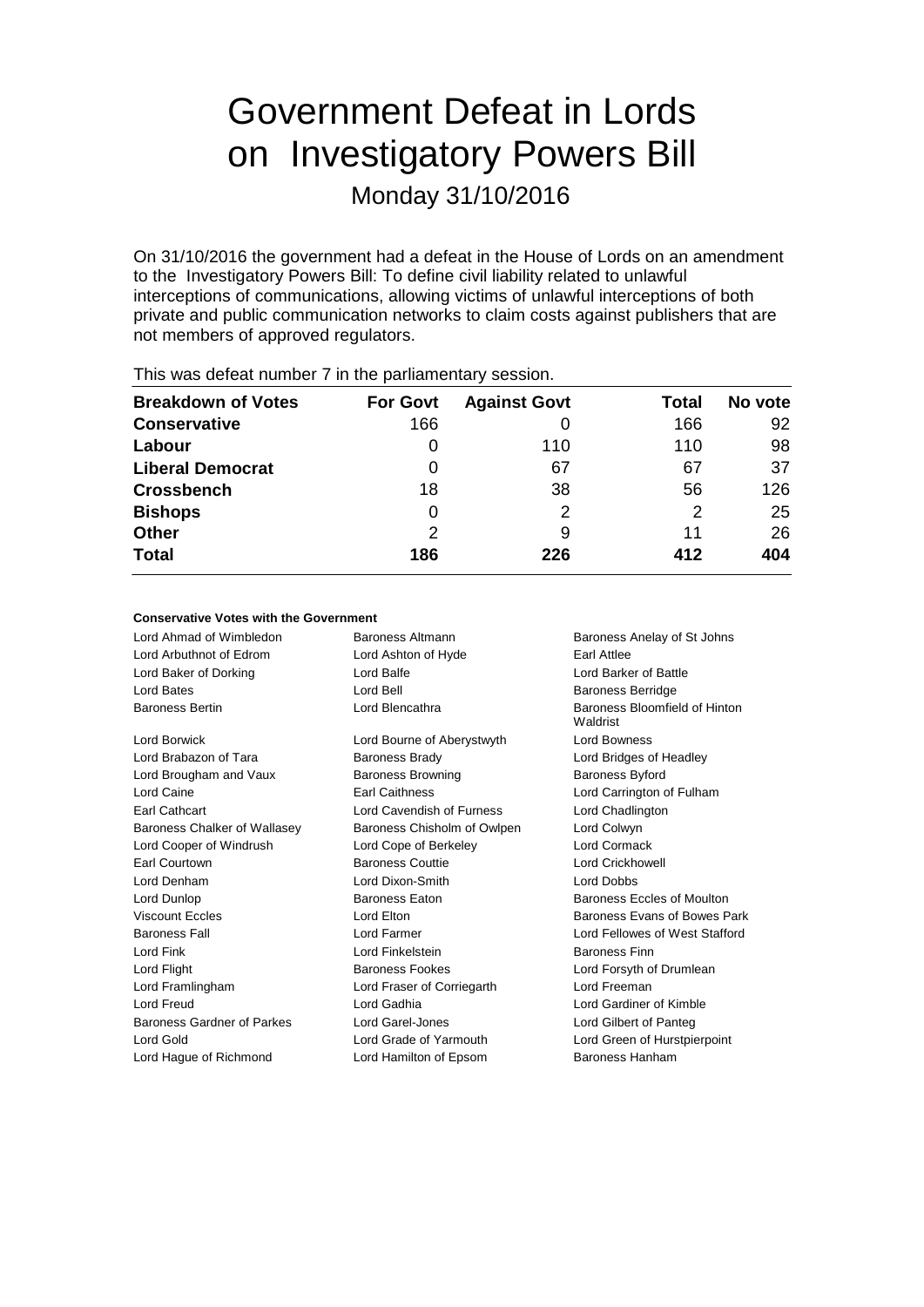# Government Defeat in Lords on Investigatory Powers Bill

Monday 31/10/2016

On 31/10/2016 the government had a defeat in the House of Lords on an amendment to the Investigatory Powers Bill: To define civil liability related to unlawful interceptions of communications, allowing victims of unlawful interceptions of both private and public communication networks to claim costs against publishers that are not members of approved regulators.

| This was acted humber things painamentally session. |                 |                     |       |         |  |
|-----------------------------------------------------|-----------------|---------------------|-------|---------|--|
| <b>Breakdown of Votes</b>                           | <b>For Govt</b> | <b>Against Govt</b> | Total | No vote |  |
| <b>Conservative</b>                                 | 166             |                     | 166   | 92      |  |
| Labour                                              | 0               | 110                 | 110   | 98      |  |
| <b>Liberal Democrat</b>                             | 0               | 67                  | 67    | 37      |  |
| <b>Crossbench</b>                                   | 18              | 38                  | 56    | 126     |  |
| <b>Bishops</b>                                      | 0               | 2                   | 2     | 25      |  |
| <b>Other</b>                                        | 2               | 9                   | 11    | 26      |  |
| <b>Total</b>                                        | 186             | 226                 | 412   | 404     |  |
|                                                     |                 |                     |       |         |  |

This was defeat number 7 in the parliamentary session.

### **Conservative Votes with the Government**

| Lord Ahmad of Wimbledon      | Baroness Altmann            | Baroness Anelay of St Johns               |
|------------------------------|-----------------------------|-------------------------------------------|
| Lord Arbuthnot of Edrom      | Lord Ashton of Hyde         | Earl Attlee                               |
| Lord Baker of Dorking        | Lord Balfe                  | Lord Barker of Battle                     |
| Lord Bates                   | Lord Bell                   | <b>Baroness Berridge</b>                  |
| <b>Baroness Bertin</b>       | Lord Blencathra             | Baroness Bloomfield of Hinton<br>Waldrist |
| Lord Borwick                 | Lord Bourne of Aberystwyth  | <b>Lord Bowness</b>                       |
| Lord Brabazon of Tara        | <b>Baroness Brady</b>       | Lord Bridges of Headley                   |
| Lord Brougham and Vaux       | <b>Baroness Browning</b>    | <b>Baroness Byford</b>                    |
| Lord Caine                   | <b>Earl Caithness</b>       | Lord Carrington of Fulham                 |
| <b>Earl Cathcart</b>         | Lord Cavendish of Furness   | Lord Chadlington                          |
| Baroness Chalker of Wallasey | Baroness Chisholm of Owlpen | Lord Colwyn                               |
| Lord Cooper of Windrush      | Lord Cope of Berkeley       | Lord Cormack                              |
| Earl Courtown                | <b>Baroness Couttie</b>     | <b>Lord Crickhowell</b>                   |
| Lord Denham                  | Lord Dixon-Smith            | Lord Dobbs                                |
| Lord Dunlop                  | Baroness Eaton              | Baroness Eccles of Moulton                |
| <b>Viscount Eccles</b>       | Lord Elton                  | Baroness Evans of Bowes Park              |
| <b>Baroness Fall</b>         | Lord Farmer                 | Lord Fellowes of West Stafford            |
| Lord Fink                    | Lord Finkelstein            | <b>Baroness Finn</b>                      |
| Lord Flight                  | <b>Baroness Fookes</b>      | Lord Forsyth of Drumlean                  |
| Lord Framlingham             | Lord Fraser of Corriegarth  | Lord Freeman                              |
| Lord Freud                   | Lord Gadhia                 | Lord Gardiner of Kimble                   |
| Baroness Gardner of Parkes   | Lord Garel-Jones            | Lord Gilbert of Panteg                    |
| Lord Gold                    | Lord Grade of Yarmouth      | Lord Green of Hurstpierpoint              |
| Lord Hague of Richmond       | Lord Hamilton of Epsom      | Baroness Hanham                           |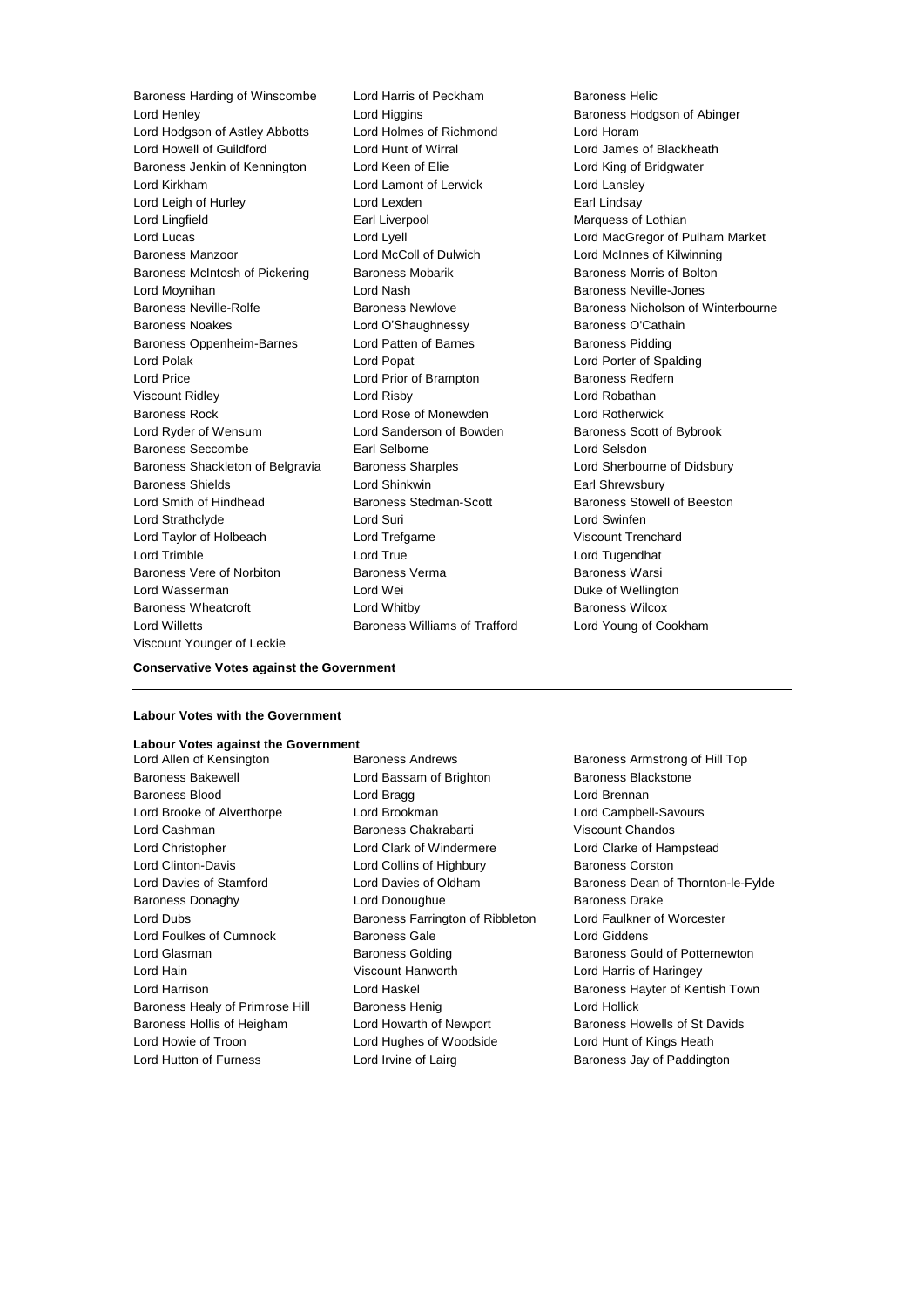Lord Henley **Lord Higgins Baroness Hodgson of Abinger Lord Higgins Baroness Hodgson of Abinger** Lord Hodgson of Astley Abbotts Lord Holmes of Richmond Lord Horam Lord Howell of Guildford Lord Hunt of Wirral Lord James of Blackheath Baroness Jenkin of Kennington Lord Keen of Elie Lord King of Bridgwater Lord Kirkham Lord Lamont of Lerwick Lord Lansley Lord Leigh of Hurley **Lord Lexden** Lord Lexden **Earl Lindsay** Lord Lingfield Earl Liverpool Marquess of Lothian Baroness Manzoor Lord McColl of Dulwich Lord McInnes of Kilwinning Baroness McIntosh of Pickering Baroness Mobarik Baroness Morris of Bolton Lord Moynihan **Ack Except Lord Nash Baroness Neville-Jones** Lord Nash Baroness Neville-Jones Baroness Noakes **Matter Communist Contract Contract Contract Contract Contract Contract Contract Contract Contract Contract Contract Contract Contract Contract Contract Contract Contract Contract Contract Contract Contract** Baroness Oppenheim-Barnes Lord Patten of Barnes Baroness Pidding Lord Polak Lord Popat Lord Porter of Spalding Lord Price **Lord Prior of Brampton** Baroness Redfern Viscount Ridley Lord Risby Lord Robathan Baroness Rock Lord Rose of Monewden Lord Rotherwick Lord Ryder of Wensum **Lord Sanderson of Bowden** Baroness Scott of Bybrook Baroness Seccombe Earl Selborne Lord Selsdon Baroness Shackleton of Belgravia Baroness Sharples **Lord Sherbourne of Didsbury** Baroness Shields **Lord Shinkwin** Earl Shrewsbury Lord Smith of Hindhead Baroness Stedman-Scott Baroness Stowell of Beeston Lord Strathclyde Lord Suri Lord Swinfen Lord Taylor of Holbeach Lord Trefgarne Viscount Trenchard Lord Trimble Lord True Lord Tugendhat Baroness Vere of Norbiton **Baroness Verma** Baroness Warsi Lord Wasserman Lord Wei Duke of Wellington Baroness Wheatcroft Lord Whitby Baroness Wilcox Lord Willetts **Baroness Williams of Trafford** Lord Young of Cookham Viscount Younger of Leckie

Baroness Harding of Winscombe Lord Harris of Peckham Baroness Helic

Lord Lucas<br>
Lord MacGregor of Pulham Market<br>
Lord McInnes of Kilwinning<br>
Lord McInnes of Kilwinning Baroness Neville-Rolfe **Baroness Newlove** Baroness Newlove **Baroness Nicholson of Winterbourne** 

#### **Conservative Votes against the Government**

### **Labour Votes with the Government**

# **Labour Votes against the Government**

Baroness Bakewell **Lord Bassam of Brighton** Baroness Blackstone Baroness Blood **Lord Bragg Lord Brennan** Lord Brooke of Alverthorpe Lord Brookman Lord Campbell-Savours Lord Cashman Baroness Chakrabarti Viscount Chandos Lord Christopher Lord Clark of Windermere Lord Clarke of Hampstead Lord Clinton-Davis **Lord Collins of Highbury Baroness Corston** Baroness Donaghy Lord Donoughue Baroness Drake Lord Dubs Baroness Farrington of Ribbleton Lord Faulkner of Worcester Lord Foulkes of Cumnock Baroness Gale Lord Giddens Lord Hain Viscount Hanworth Lord Harris of Haringey Baroness Healy of Primrose Hill Baroness Henig Lord Hollick Baroness Hollis of Heigham Lord Howarth of Newport Baroness Howells of St Davids Lord Howie of Troon **Lord Hughes of Woodside** Lord Hunt of Kings Heath Lord Hutton of Furness **Lord Irvine of Lairg** Baroness Jay of Paddington

Baroness Armstrong of Hill Top Lord Davies of Stamford Lord Davies of Oldham Baroness Dean of Thornton-le-Fylde Lord Glasman **Baroness Golding** Baroness Gould of Potternewton Lord Harrison **Lord Haskel Baroness Hayter of Kentish Town**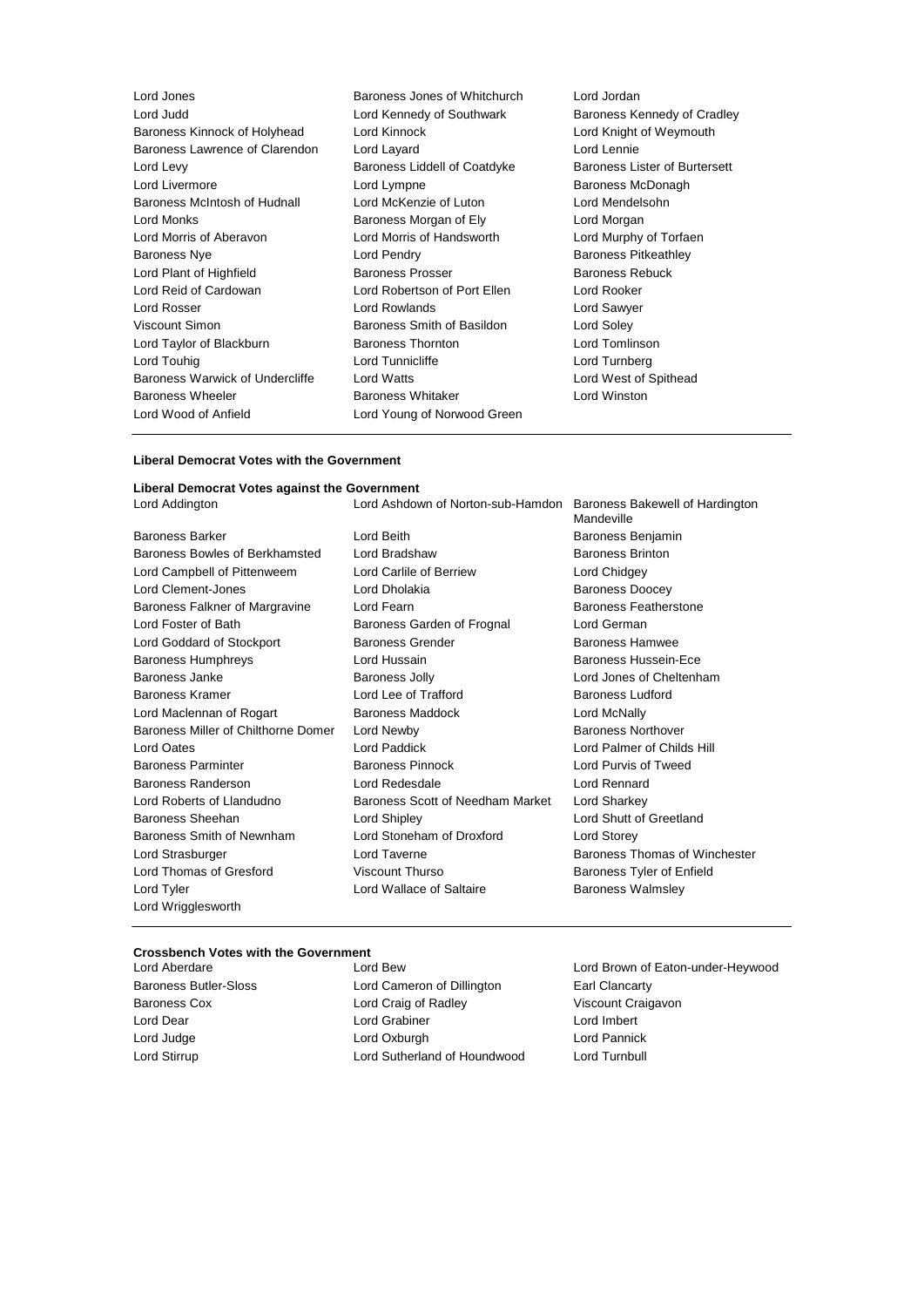| Lord Jones                      | Baroness Jones of Whitchurch | Lord Jordan         |
|---------------------------------|------------------------------|---------------------|
| Lord Judd                       | Lord Kennedy of Southwark    | Baroness Ke         |
| Baroness Kinnock of Holyhead    | Lord Kinnock                 | Lord Knight         |
| Baroness Lawrence of Clarendon  | Lord Layard                  | Lord Lennie         |
| Lord Levy                       | Baroness Liddell of Coatdyke | Baroness Lis        |
| Lord Livermore                  | Lord Lympne                  | Baroness M          |
| Baroness McIntosh of Hudnall    | Lord McKenzie of Luton       | Lord Mendel         |
| Lord Monks                      | Baroness Morgan of Ely       | Lord Morgar         |
| Lord Morris of Aberavon         | Lord Morris of Handsworth    | Lord Murphy         |
| <b>Baroness Nye</b>             | Lord Pendry                  | <b>Baroness Pi</b>  |
| Lord Plant of Highfield         | <b>Baroness Prosser</b>      | Baroness Re         |
| Lord Reid of Cardowan           | Lord Robertson of Port Ellen | Lord Rooker         |
| Lord Rosser                     | Lord Rowlands                | Lord Sawyer         |
| Viscount Simon                  | Baroness Smith of Basildon   | Lord Soley          |
| Lord Taylor of Blackburn        | <b>Baroness Thornton</b>     | <b>Lord Tomlins</b> |
| Lord Touhig                     | Lord Tunnicliffe             | Lord Turnbe         |
| Baroness Warwick of Undercliffe | Lord Watts                   | Lord West o         |
| <b>Baroness Wheeler</b>         | <b>Baroness Whitaker</b>     | Lord Winsto         |
| Lord Wood of Anfield            | Lord Young of Norwood Green  |                     |
|                                 |                              |                     |

Lord Jones Baroness Jones of Whitchurch Lord Jordan Lord Kennedy of Southwark Baroness Kennedy of Cradley Lord Kinnock **Lord Kinnock** Lord Knight of Weymouth Baroness Liddell of Coatdyke Baroness Lister of Burtersett Lord Lympne **Baroness McDonagh** Lord McKenzie of Luton Lord Mendelsohn Baroness Morgan of Ely Lord Morgan Lord Morris of Handsworth Lord Murphy of Torfaen Lord Pendry **Baroness Pitkeathley** Baroness Prosser **Baroness Rebuck** Lord Robertson of Port Ellen Lord Rooker Lord Rowlands **Lord Sawyer** Baroness Smith of Basildon Lord Soley Baroness Thornton **Lord Tomlinson** Lord Tunnicliffe **Lord Turnberg** Lord Watts **Lord West of Spithead** Baroness Whitaker **Lord Winston** Lord Young of Norwood Green

#### **Liberal Democrat Votes with the Government**

# **Liberal Democrat Votes against the Government** Lord Addington Lord Ashdown of Norton-sub-Hamdon Baroness Bakewell of Hardington Mandeville Baroness Barker Lord Beith Baroness Benjamin Baroness Bowles of Berkhamsted Lord Bradshaw Baroness Brinton Lord Campbell of Pittenweem Lord Carlile of Berriew Lord Chidgey Lord Clement-Jones **Lord Dholakia** Baroness Doocey Baroness Falkner of Margravine Lord Fearn Baroness Featherstone Lord Foster of Bath Baroness Garden of Frognal Lord German Lord Goddard of Stockport **Baroness Grender** Baroness Hamwee Baroness Humphreys **Lord Hussain Baroness Hussein-Ece** Baroness Janke Baroness Jolly Lord Jones of Cheltenham Baroness Kramer **Edge Corner Lord Lee of Trafford** Baroness Ludford **Baroness** Ludford Lord Maclennan of Rogart **Baroness Maddock** Lord McNally Baroness Miller of Chilthorne Domer Lord Newby **Baroness Northover** Baroness Northover Lord Oates Lord Paddick Lord Palmer of Childs Hill Baroness Parminter **Baroness Pinnock** Lord Purvis of Tweed Baroness Randerson Lord Redesdale Lord Rennard Lord Roberts of Llandudno Baroness Scott of Needham Market Lord Sharkey Baroness Sheehan Lord Shipley Lord Shutt of Greetland Baroness Smith of Newnham Lord Stoneham of Droxford Lord Storey Lord Strasburger **Lord Taverne Lord Taverne** Baroness Thomas of Winchester Lord Thomas of Gresford Viscount Thurso Baroness Tyler of Enfield Lord Tyler Lord Wallace of Saltaire Baroness Walmsley Lord Wrigglesworth

#### **Crossbench Votes with the Government**

Baroness Butler-Sloss Lord Cameron of Dillington Earl Clancarty Baroness Cox **Lord Craig of Radley** Viscount Craigavon Lord Dear Lord Grabiner Lord Imbert Lord Judge Lord Oxburgh Lord Pannick Lord Stirrup Lord Sutherland of Houndwood Lord Turnbull

Lord Aberdare Lord Bew Lord Brown of Eaton-under-Heywood